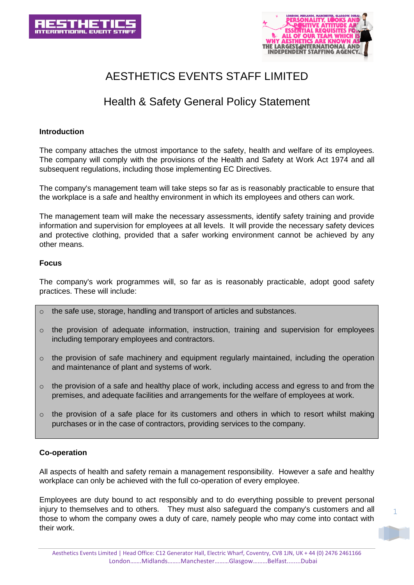

# AESTHETICS EVENTS STAFF LIMITED

## Health & Safety General Policy Statement

### **Introduction**

The company attaches the utmost importance to the safety, health and welfare of its employees. The company will comply with the provisions of the Health and Safety at Work Act 1974 and all subsequent regulations, including those implementing EC Directives.

The company's management team will take steps so far as is reasonably practicable to ensure that the workplace is a safe and healthy environment in which its employees and others can work.

The management team will make the necessary assessments, identify safety training and provide information and supervision for employees at all levels. It will provide the necessary safety devices and protective clothing, provided that a safer working environment cannot be achieved by any other means.

### **Focus**

The company's work programmes will, so far as is reasonably practicable, adopt good safety practices. These will include:

- o the safe use, storage, handling and transport of articles and substances.
- $\circ$  the provision of adequate information, instruction, training and supervision for employees including temporary employees and contractors.
- o the provision of safe machinery and equipment regularly maintained, including the operation and maintenance of plant and systems of work.
- o the provision of a safe and healthy place of work, including access and egress to and from the premises, and adequate facilities and arrangements for the welfare of employees at work.
- o the provision of a safe place for its customers and others in which to resort whilst making purchases or in the case of contractors, providing services to the company.

### **Co-operation**

All aspects of health and safety remain a management responsibility. However a safe and healthy workplace can only be achieved with the full co-operation of every employee.

Employees are duty bound to act responsibly and to do everything possible to prevent personal injury to themselves and to others. They must also safeguard the company's customers and all those to whom the company owes a duty of care, namely people who may come into contact with their work.

Aesthetics Events Limited | Head Office: C12 Generator Hall, Electric Wharf, Coventry, CV8 1JN, UK + 44 (0) 2476 2461166 London…….Midlands……..Manchester………Glasgow………Belfast........Dubai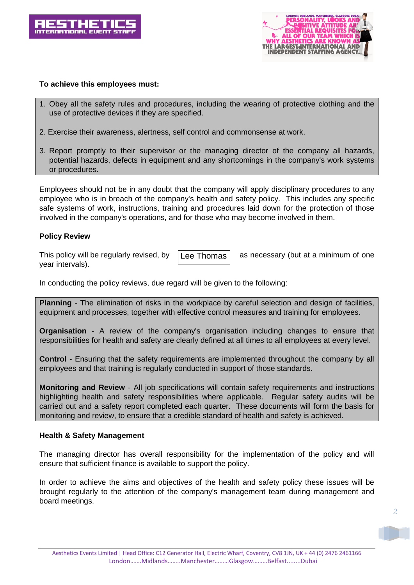



#### **To achieve this employees must:**

- 1. Obey all the safety rules and procedures, including the wearing of protective clothing and the use of protective devices if they are specified.
- 2. Exercise their awareness, alertness, self control and commonsense at work.
- 3. Report promptly to their supervisor or the managing director of the company all hazards, potential hazards, defects in equipment and any shortcomings in the company's work systems or procedures.

Employees should not be in any doubt that the company will apply disciplinary procedures to any employee who is in breach of the company's health and safety policy. This includes any specific safe systems of work, instructions, training and procedures laid down for the protection of those involved in the company's operations, and for those who may become involved in them.

#### **Policy Review**

This policy will be regularly revised, by  $|$  Lee Thomas  $|$  as necessary (but at a minimum of one year intervals).

Lee Thomas

In conducting the policy reviews, due regard will be given to the following:

**Planning** - The elimination of risks in the workplace by careful selection and design of facilities, equipment and processes, together with effective control measures and training for employees.

**Organisation** - A review of the company's organisation including changes to ensure that responsibilities for health and safety are clearly defined at all times to all employees at every level.

**Control** - Ensuring that the safety requirements are implemented throughout the company by all employees and that training is regularly conducted in support of those standards.

**Monitoring and Review** - All job specifications will contain safety requirements and instructions highlighting health and safety responsibilities where applicable. Regular safety audits will be carried out and a safety report completed each quarter. These documents will form the basis for monitoring and review, to ensure that a credible standard of health and safety is achieved.

#### **Health & Safety Management**

The managing director has overall responsibility for the implementation of the policy and will ensure that sufficient finance is available to support the policy.

In order to achieve the aims and objectives of the health and safety policy these issues will be brought regularly to the attention of the company's management team during management and board meetings.